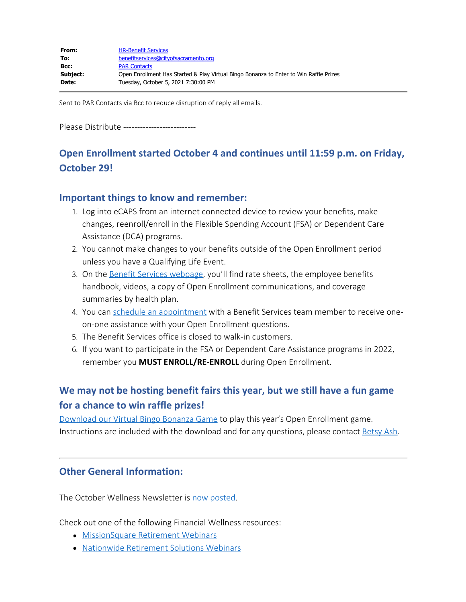| From:    | <b>HR-Benefit Services</b>                                                             |
|----------|----------------------------------------------------------------------------------------|
| To:      | benefitservices@cityofsacramento.org                                                   |
| Bcc:     | <b>PAR Contacts</b>                                                                    |
| Subject: | Open Enrollment Has Started & Play Virtual Bingo Bonanza to Enter to Win Raffle Prizes |
| Date:    | Tuesday, October 5, 2021 7:30:00 PM                                                    |

Sent to PAR Contacts via Bcc to reduce disruption of reply all emails.

Please Distribute --------------------------

# **Open Enrollment started October 4 and continues until 11:59 p.m. on Friday, October 29!**

## **Important things to know and remember:**

- 1. Log into eCAPS from an internet connected device to review your benefits, make changes, reenroll/enroll in the Flexible Spending Account (FSA) or Dependent Care Assistance (DCA) programs.
- 2. You cannot make changes to your benefits outside of the Open Enrollment period unless you have a Qualifying Life Event.
- 3. On the [Benefit Services webpage](http://www.cityofsacramento.org/HR/Divisions/Benefits-Retirement), you'll find rate sheets, the employee benefits handbook, videos, a copy of Open Enrollment communications, and coverage summaries by health plan.
- 4. You can [schedule an appointment](https://outlook.office365.com/owa/calendar/BenefitServicesHumanResources@saccity.onmicrosoft.com/bookings/) with a Benefit Services team member to receive oneon-one assistance with your Open Enrollment questions.
- 5. The Benefit Services office is closed to walk-in customers.
- 6. If you want to participate in the FSA or Dependent Care Assistance programs in 2022, remember you **MUST ENROLL/RE-ENROLL** during Open Enrollment.

## **We may not be hosting benefit fairs this year, but we still have a fun game for a chance to win raffle prizes!**

[Download our Virtual Bingo Bonanza Game](http://www.cityofsacramento.org/-/media/Corporate/Files/HR/Divisions/Benefits/2022-OE/2022OE_virtual_bonanza_bingo.pdf?la=en) to play this year's Open Enrollment game. Instructions are included with the download and for any questions, please contact [Betsy Ash.](mailto:eash@cityofsacramento.org)

## **Other General Information:**

The October Wellness Newsletter is [now posted](http://www.cityofsacramento.org/-/media/Corporate/Files/HR/Divisions/Benefits/Wellness-Program/2021/102021.pdf?la=en).

Check out one of the following Financial Wellness resources:

- [MissionSquare Retirement Webinars](https://icmarc.secure.force.com/events?SiteId=a0l3a00000Hw8XhAAJ&Source=outlook&utm_medium=email&utm_campaign=JoinUsWebinar-202104-RPS&utm_content=text)
- [Nationwide Retirement Solutions Webinars](https://www.cityofsacretplan.com/rsc-web-preauth/resource-center/webinars)